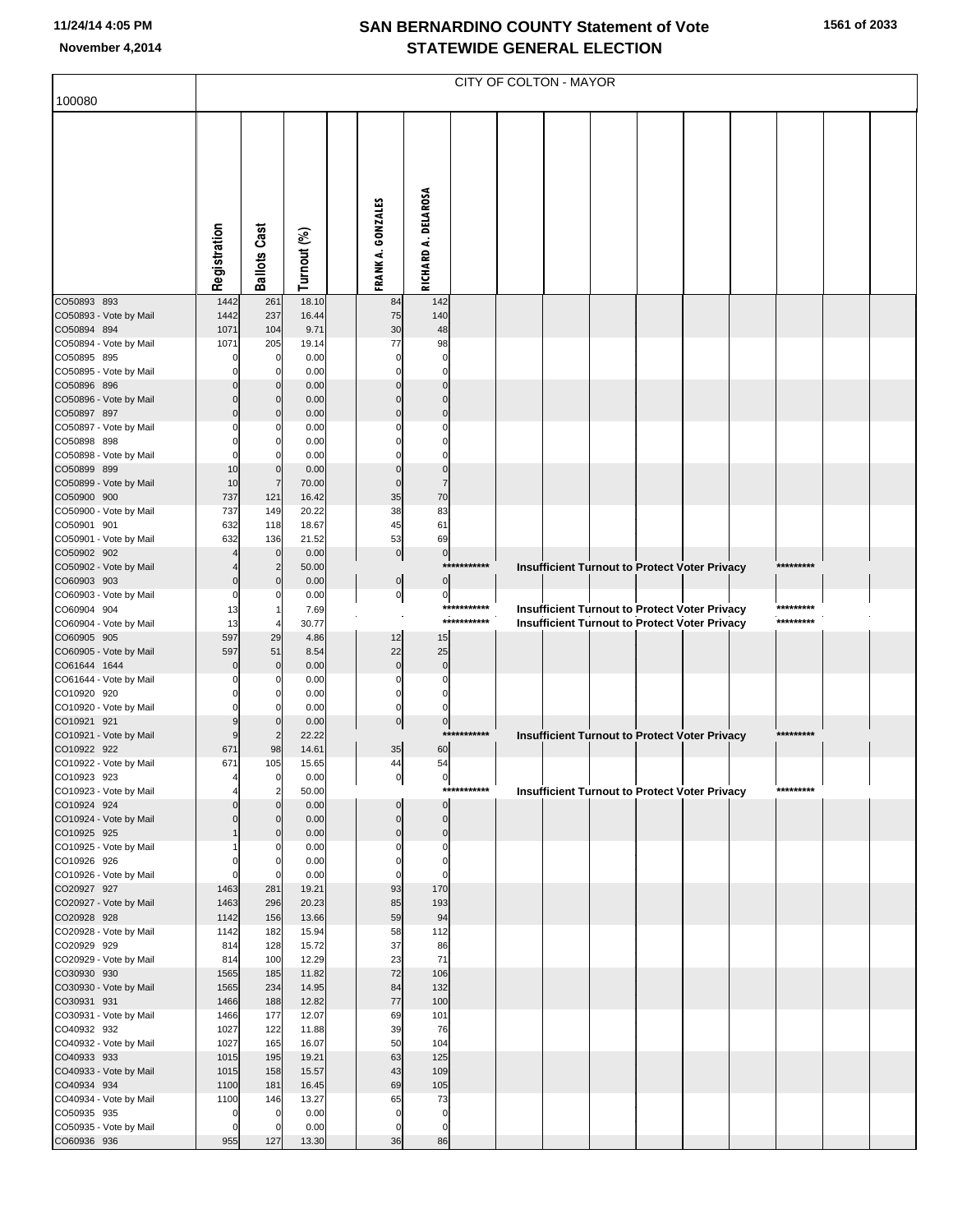## **SAN BERNARDINO COUNTY Statement of Vote November 4,2014 STATEWIDE GENERAL ELECTION**

| 100080                                | CITY OF COLTON - MAYOR |                               |                |  |                   |                      |                            |  |  |  |  |                                                                                                       |  |                        |  |
|---------------------------------------|------------------------|-------------------------------|----------------|--|-------------------|----------------------|----------------------------|--|--|--|--|-------------------------------------------------------------------------------------------------------|--|------------------------|--|
|                                       |                        |                               |                |  |                   |                      |                            |  |  |  |  |                                                                                                       |  |                        |  |
|                                       | Registration           | Cast<br>Ballots               | Turnout (%)    |  | FRANK A. GONZALES | RICHARD A. DELAROSA  |                            |  |  |  |  |                                                                                                       |  |                        |  |
| CO50893 893                           | 1442                   | 261                           | 18.10          |  | 84                | 142                  |                            |  |  |  |  |                                                                                                       |  |                        |  |
| CO50893 - Vote by Mail                | 1442<br>1071           | 237                           | 16.44          |  | 75<br>30          | 140                  |                            |  |  |  |  |                                                                                                       |  |                        |  |
| CO50894 894<br>CO50894 - Vote by Mail | 1071                   | 104<br>205                    | 9.71<br>19.14  |  | 77                | 48<br>98             |                            |  |  |  |  |                                                                                                       |  |                        |  |
| CO50895 895                           | 0                      | $\mathbf 0$                   | 0.00           |  | $\Omega$          | 0                    |                            |  |  |  |  |                                                                                                       |  |                        |  |
| CO50895 - Vote by Mail                |                        | $\Omega$                      | 0.00           |  | 0                 | $\Omega$<br>$\Omega$ |                            |  |  |  |  |                                                                                                       |  |                        |  |
| CO50896 896<br>CO50896 - Vote by Mail |                        | $\Omega$<br>0                 | 0.00<br>0.00   |  | $\Omega$<br>0     | $\mathbf 0$          |                            |  |  |  |  |                                                                                                       |  |                        |  |
| CO50897 897                           | $\Omega$               | $\Omega$                      | 0.00           |  | $\Omega$          | $\mathbf 0$          |                            |  |  |  |  |                                                                                                       |  |                        |  |
| CO50897 - Vote by Mail                |                        | C                             | 0.00           |  |                   |                      |                            |  |  |  |  |                                                                                                       |  |                        |  |
| CO50898 898<br>CO50898 - Vote by Mail | O                      | 0                             | 0.00<br>0.00   |  |                   | $\Omega$             |                            |  |  |  |  |                                                                                                       |  |                        |  |
| CO50899 899                           | 10                     | $\mathbf 0$                   | 0.00           |  | 0                 | $\mathbf 0$          |                            |  |  |  |  |                                                                                                       |  |                        |  |
| CO50899 - Vote by Mail                | 10                     | $\overline{7}$                | 70.00          |  | $\mathbf 0$       |                      |                            |  |  |  |  |                                                                                                       |  |                        |  |
| CO50900 900<br>CO50900 - Vote by Mail | 737<br>737             | 121<br>149                    | 16.42<br>20.22 |  | 35<br>38          | 70<br>83             |                            |  |  |  |  |                                                                                                       |  |                        |  |
| CO50901 901                           | 632                    | 118                           | 18.67          |  | 45                | 61                   |                            |  |  |  |  |                                                                                                       |  |                        |  |
| CO50901 - Vote by Mail                | 632                    | 136                           | 21.52          |  | 53                | 69                   |                            |  |  |  |  |                                                                                                       |  |                        |  |
| CO50902 902<br>CO50902 - Vote by Mail |                        | $\mathbf 0$<br>$\overline{2}$ | 0.00<br>50.00  |  | $\pmb{0}$         | $\pmb{0}$            | ***********                |  |  |  |  | Insufficient Turnout to Protect Voter Privacy                                                         |  | *********              |  |
| CO60903 903                           | $\mathbf 0$            | $\mathbf 0$                   | 0.00           |  | $\mathbf 0$       | $\pmb{0}$            |                            |  |  |  |  |                                                                                                       |  |                        |  |
| CO60903 - Vote by Mail                | 0                      | C                             | 0.00           |  | $\overline{0}$    | 0                    |                            |  |  |  |  |                                                                                                       |  |                        |  |
| CO60904 904<br>CO60904 - Vote by Mail | 13<br>13               |                               | 7.69<br>30.77  |  |                   |                      | ***********<br>*********** |  |  |  |  | Insufficient Turnout to Protect Voter Privacy<br><b>Insufficient Turnout to Protect Voter Privacy</b> |  | *********<br>********* |  |
| CO60905 905                           | 597                    | 29                            | 4.86           |  | 12                | 15                   |                            |  |  |  |  |                                                                                                       |  |                        |  |
| CO60905 - Vote by Mail                | 597                    | 51                            | 8.54           |  | 22                | 25                   |                            |  |  |  |  |                                                                                                       |  |                        |  |
| CO61644 1644                          |                        | $\Omega$<br>0                 | 0.00           |  | $\bf{0}$<br>0     | $\mathbf 0$<br>0     |                            |  |  |  |  |                                                                                                       |  |                        |  |
| CO61644 - Vote by Mail<br>CO10920 920 | 0                      | $\Omega$                      | 0.00<br>0.00   |  | 0                 | $\Omega$             |                            |  |  |  |  |                                                                                                       |  |                        |  |
| CO10920 - Vote by Mail                | 0                      |                               | 0.00           |  | 0                 |                      |                            |  |  |  |  |                                                                                                       |  |                        |  |
| CO10921 921                           | 9                      | $\mathbf 0$                   | 0.00           |  | $\mathbf 0$       | $\pmb{0}$<br>$***$   | *******                    |  |  |  |  |                                                                                                       |  | *********              |  |
| CO10921 - Vote by Mail<br>CO10922 922 | 9<br>671               | $\overline{2}$<br>98          | 22.22<br>14.61 |  | 35                | 60                   |                            |  |  |  |  | Insufficient Turnout to Protect Voter Privacy                                                         |  |                        |  |
| CO10922 - Vote by Mail                | 671                    | 105                           | 15.65          |  | 44                | 54                   |                            |  |  |  |  |                                                                                                       |  |                        |  |
| CO10923 923                           |                        | $\pmb{0}$                     | 0.00           |  | 이                 | 이                    | ***********                |  |  |  |  |                                                                                                       |  | *********              |  |
| CO10923 - Vote by Mail<br>CO10924 924 | $\Omega$               | $\overline{2}$<br>$\Omega$    | 50.00<br>0.00  |  | 0                 | $\pmb{0}$            |                            |  |  |  |  | <b>Insufficient Turnout to Protect Voter Privacy</b>                                                  |  |                        |  |
| CO10924 - Vote by Mail                | $\Omega$               | 0                             | 0.00           |  | $\pmb{0}$         | $\pmb{0}$            |                            |  |  |  |  |                                                                                                       |  |                        |  |
| CO10925 925                           |                        | $\mathbf 0$<br>0              | 0.00<br>0.00   |  | $\pmb{0}$<br>0    | $\pmb{0}$<br>0       |                            |  |  |  |  |                                                                                                       |  |                        |  |
| CO10925 - Vote by Mail<br>CO10926 926 | 0                      | 0                             | 0.00           |  | 0                 | $\mathbf 0$          |                            |  |  |  |  |                                                                                                       |  |                        |  |
| CO10926 - Vote by Mail                | $\mathbf 0$            | $\Omega$                      | 0.00           |  | 0                 | $\mathbf 0$          |                            |  |  |  |  |                                                                                                       |  |                        |  |
| CO20927 927<br>CO20927 - Vote by Mail | 1463<br>1463           | 281<br>296                    | 19.21<br>20.23 |  | 93<br>85          | 170<br>193           |                            |  |  |  |  |                                                                                                       |  |                        |  |
| CO20928 928                           | 1142                   | 156                           | 13.66          |  | 59                | 94                   |                            |  |  |  |  |                                                                                                       |  |                        |  |
| CO20928 - Vote by Mail                | 1142                   | 182                           | 15.94          |  | 58                | 112                  |                            |  |  |  |  |                                                                                                       |  |                        |  |
| CO20929 929<br>CO20929 - Vote by Mail | 814<br>814             | 128<br>100                    | 15.72<br>12.29 |  | 37<br>23          | 86<br>71             |                            |  |  |  |  |                                                                                                       |  |                        |  |
| CO30930 930                           | 1565                   | 185                           | 11.82          |  | 72                | 106                  |                            |  |  |  |  |                                                                                                       |  |                        |  |
| CO30930 - Vote by Mail                | 1565                   | 234                           | 14.95          |  | 84                | 132                  |                            |  |  |  |  |                                                                                                       |  |                        |  |
| CO30931 931                           | 1466                   | 188                           | 12.82          |  | 77                | 100                  |                            |  |  |  |  |                                                                                                       |  |                        |  |
| CO30931 - Vote by Mail<br>CO40932 932 | 1466<br>1027           | 177<br>122                    | 12.07<br>11.88 |  | 69<br>39          | 101<br>76            |                            |  |  |  |  |                                                                                                       |  |                        |  |
| CO40932 - Vote by Mail                | 1027                   | 165                           | 16.07          |  | 50                | 104                  |                            |  |  |  |  |                                                                                                       |  |                        |  |
| CO40933 933                           | 1015                   | 195                           | 19.21          |  | 63                | 125                  |                            |  |  |  |  |                                                                                                       |  |                        |  |
| CO40933 - Vote by Mail<br>CO40934 934 | 1015<br>1100           | 158<br>181                    | 15.57<br>16.45 |  | 43<br>69          | 109<br>105           |                            |  |  |  |  |                                                                                                       |  |                        |  |
| CO40934 - Vote by Mail                | 1100                   | 146                           | 13.27          |  | 65                | 73                   |                            |  |  |  |  |                                                                                                       |  |                        |  |
| CO50935 935                           | $\mathbf 0$            | $\mathbf 0$                   | 0.00           |  | 0                 | $\pmb{0}$            |                            |  |  |  |  |                                                                                                       |  |                        |  |
| CO50935 - Vote by Mail<br>CO60936 936 | $\mathbf 0$<br>955     | $\mathbf 0$<br>127            | 0.00<br>13.30  |  | 0<br>36           | 0<br>86              |                            |  |  |  |  |                                                                                                       |  |                        |  |
|                                       |                        |                               |                |  |                   |                      |                            |  |  |  |  |                                                                                                       |  |                        |  |